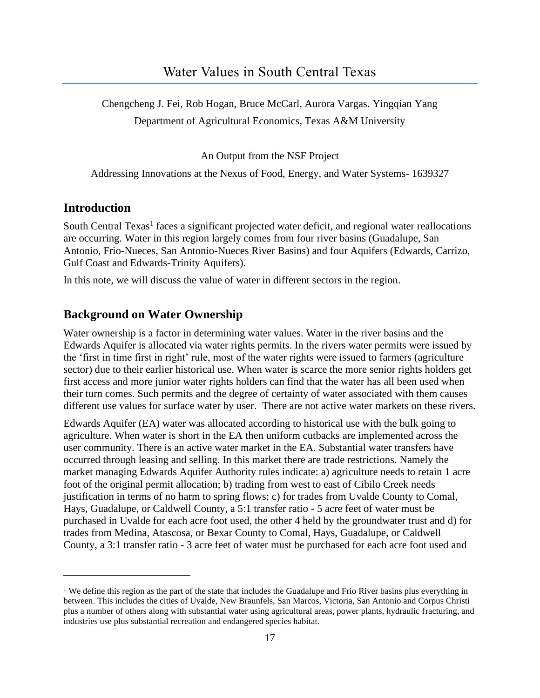Chengcheng J. Fei, Rob Hogan, Bruce McCarl, Aurora Vargas. Yingqian Yang Department of Agricultural Economics, Texas A&M University

An Output from the NSF Project

Addressing Innovations at the Nexus of Food, Energy, and Water Systems- 1639327

### **Introduction**

South Central Texas<sup>1</sup> faces a significant projected water deficit, and regional water reallocations are occurring. Water in this region largely comes from four river basins (Guadalupe, San Antonio, Frio-Nueces, San Antonio-Nueces River Basins) and four Aquifers (Edwards, Carrizo, Gulf Coast and Edwards-Trinity Aquifers).

In this note, we will discuss the value of water in different sectors in the region.

### **Background on Water Ownership**

Water ownership is a factor in determining water values. Water in the river basins and the Edwards Aquifer is allocated via water rights permits. In the rivers water permits were issued by the 'first in time first in right' rule, most of the water rights were issued to farmers (agriculture sector) due to their earlier historical use. When water is scarce the more senior rights holders get first access and more junior water rights holders can find that the water has all been used when their turn comes. Such permits and the degree of certainty of water associated with them causes different use values for surface water by user. There are not active water markets on these rivers.

Edwards Aquifer (EA) water was allocated according to historical use with the bulk going to agriculture. When water is short in the EA then uniform cutbacks are implemented across the user community. There is an active water market in the EA. Substantial water transfers have occurred through leasing and selling. In this market there are trade restrictions. Namely the market managing Edwards Aquifer Authority rules indicate: a) agriculture needs to retain 1 acre foot of the original permit allocation; b) trading from west to east of Cibilo Creek needs justification in terms of no harm to spring flows; c) for trades from Uvalde County to Comal, Hays, Guadalupe, or Caldwell County, a 5:1 transfer ratio - 5 acre feet of water must be purchased in Uvalde for each acre foot used, the other 4 held by the groundwater trust and d) for trades from Medina, Atascosa, or Bexar County to Comal, Hays, Guadalupe, or Caldwell County, a 3:1 transfer ratio - 3 acre feet of water must be purchased for each acre foot used and

<sup>&</sup>lt;sup>1</sup> We define this region as the part of the state that includes the Guadalupe and Frio River basins plus everything in between. This includes the cities of Uvalde, New Braunfels, San Marcos, Victoria, San Antonio and Corpus Christi plus a number of others along with substantial water using agricultural areas, power plants, hydraulic fracturing, and industries use plus substantial recreation and endangered species habitat.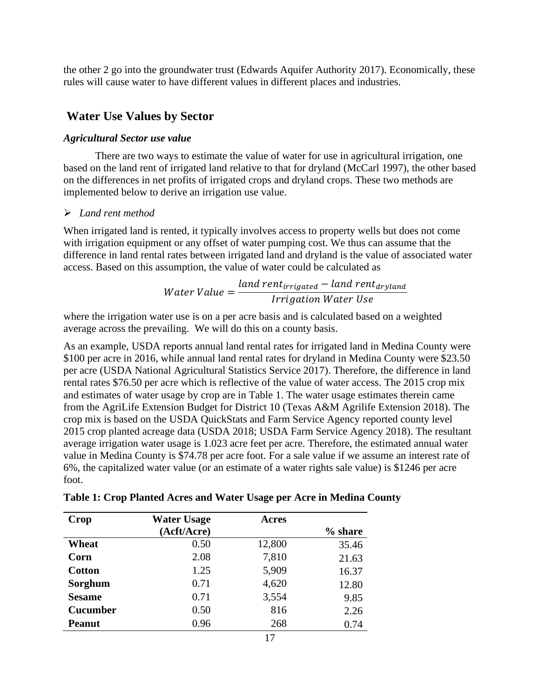the other 2 go into the groundwater trust (Edwards Aquifer Authority 2017). Economically, these rules will cause water to have different values in different places and industries.

### **Water Use Values by Sector**

#### *Agricultural Sector use value*

There are two ways to estimate the value of water for use in agricultural irrigation, one based on the land rent of irrigated land relative to that for dryland (McCarl 1997), the other based on the differences in net profits of irrigated crops and dryland crops. These two methods are implemented below to derive an irrigation use value.

#### ➢ *Land rent method*

When irrigated land is rented, it typically involves access to property wells but does not come with irrigation equipment or any offset of water pumping cost. We thus can assume that the difference in land rental rates between irrigated land and dryland is the value of associated water access. Based on this assumption, the value of water could be calculated as

Water Value = 
$$
\frac{land \, rent_{irrigated} - land \, rent_{dryland}}{Irrigation \, Water \, Use}
$$

where the irrigation water use is on a per acre basis and is calculated based on a weighted average across the prevailing. We will do this on a county basis.

As an example, USDA reports annual land rental rates for irrigated land in Medina County were \$100 per acre in 2016, while annual land rental rates for dryland in Medina County were \$23.50 per acre (USDA National Agricultural Statistics Service 2017). Therefore, the difference in land rental rates \$76.50 per acre which is reflective of the value of water access. The 2015 crop mix and estimates of water usage by crop are in Table 1. The water usage estimates therein came from the AgriLife Extension Budget for District 10 (Texas A&M Agrilife Extension 2018). The crop mix is based on the USDA QuickStats and Farm Service Agency reported county level 2015 crop planted acreage data (USDA 2018; USDA Farm Service Agency 2018). The resultant average irrigation water usage is 1.023 acre feet per acre. Therefore, the estimated annual water value in Medina County is \$74.78 per acre foot. For a sale value if we assume an interest rate of 6%, the capitalized water value (or an estimate of a water rights sale value) is \$1246 per acre foot.

| Crop            | <b>Water Usage</b> | <b>Acres</b> |         |
|-----------------|--------------------|--------------|---------|
|                 | (Acft/Acre)        |              | % share |
| Wheat           | 0.50               | 12,800       | 35.46   |
| Corn            | 2.08               | 7,810        | 21.63   |
| <b>Cotton</b>   | 1.25               | 5,909        | 16.37   |
| Sorghum         | 0.71               | 4,620        | 12.80   |
| <b>Sesame</b>   | 0.71               | 3,554        | 9.85    |
| <b>Cucumber</b> | 0.50               | 816          | 2.26    |
| Peanut          | 0.96               | 268          | 0.74    |

**Table 1: Crop Planted Acres and Water Usage per Acre in Medina County**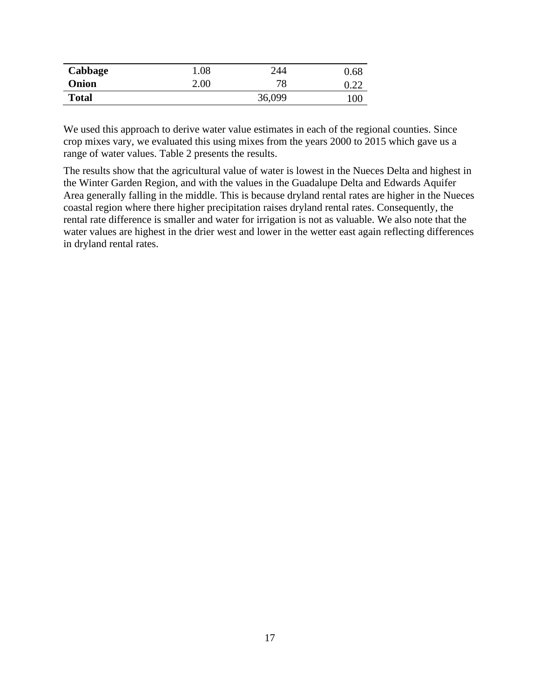| Cabbage      | 0.08 | 244    | $0.68\,$ |
|--------------|------|--------|----------|
| Onion        | 2.00 | 78     | በ  ንገ    |
| <b>Total</b> |      | 36,099 | 100      |

We used this approach to derive water value estimates in each of the regional counties. Since crop mixes vary, we evaluated this using mixes from the years 2000 to 2015 which gave us a range of water values. Table 2 presents the results.

The results show that the agricultural value of water is lowest in the Nueces Delta and highest in the Winter Garden Region, and with the values in the Guadalupe Delta and Edwards Aquifer Area generally falling in the middle. This is because dryland rental rates are higher in the Nueces coastal region where there higher precipitation raises dryland rental rates. Consequently, the rental rate difference is smaller and water for irrigation is not as valuable. We also note that the water values are highest in the drier west and lower in the wetter east again reflecting differences in dryland rental rates.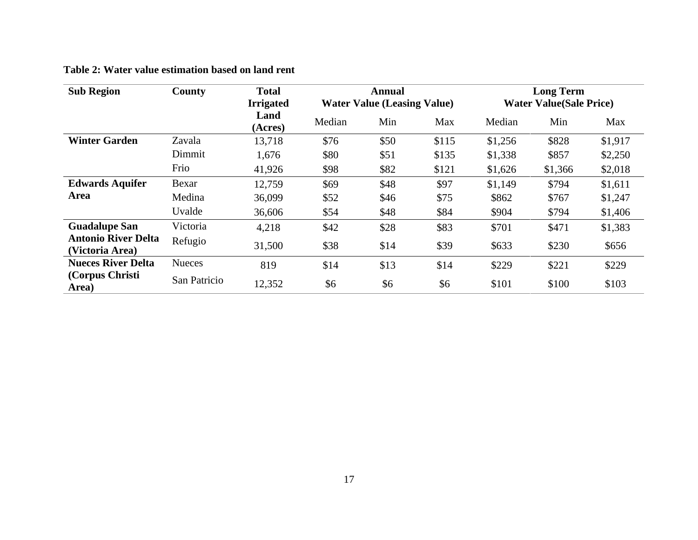|  |  |  |  |  |  | Table 2: Water value estimation based on land rent |  |  |  |  |  |
|--|--|--|--|--|--|----------------------------------------------------|--|--|--|--|--|
|--|--|--|--|--|--|----------------------------------------------------|--|--|--|--|--|

| <b>Sub Region</b>                             | County        | <b>Total</b><br><b>Irrigated</b> | Annual<br><b>Water Value (Leasing Value)</b> |      |       | <b>Long Term</b><br><b>Water Value (Sale Price)</b> |         |         |
|-----------------------------------------------|---------------|----------------------------------|----------------------------------------------|------|-------|-----------------------------------------------------|---------|---------|
|                                               |               | Land<br>(Acres)                  | Median                                       | Min  | Max   | Median                                              | Min     | Max     |
| <b>Winter Garden</b>                          | Zavala        | 13,718                           | \$76                                         | \$50 | \$115 | \$1,256                                             | \$828   | \$1,917 |
|                                               | Dimmit        | 1,676                            | \$80                                         | \$51 | \$135 | \$1,338                                             | \$857   | \$2,250 |
|                                               | Frio          | 41,926                           | \$98                                         | \$82 | \$121 | \$1,626                                             | \$1,366 | \$2,018 |
| <b>Edwards Aquifer</b>                        | Bexar         | 12,759                           | \$69                                         | \$48 | \$97  | \$1,149                                             | \$794   | \$1,611 |
| Area                                          | Medina        | 36,099                           | \$52                                         | \$46 | \$75  | \$862                                               | \$767   | \$1,247 |
|                                               | Uvalde        | 36,606                           | \$54                                         | \$48 | \$84  | \$904                                               | \$794   | \$1,406 |
| <b>Guadalupe San</b>                          | Victoria      | 4,218                            | \$42                                         | \$28 | \$83  | \$701                                               | \$471   | \$1,383 |
| <b>Antonio River Delta</b><br>(Victoria Area) | Refugio       | 31,500                           | \$38                                         | \$14 | \$39  | \$633                                               | \$230   | \$656   |
| <b>Nueces River Delta</b>                     | <b>Nueces</b> | 819                              | \$14                                         | \$13 | \$14  | \$229                                               | \$221   | \$229   |
| (Corpus Christi<br>Area)                      | San Patricio  | 12,352                           | \$6                                          | \$6  | \$6   | \$101                                               | \$100   | \$103   |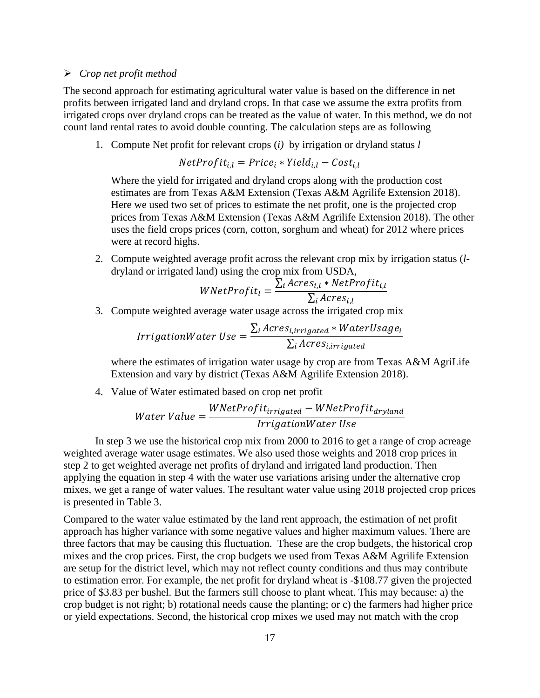#### ➢ *Crop net profit method*

The second approach for estimating agricultural water value is based on the difference in net profits between irrigated land and dryland crops. In that case we assume the extra profits from irrigated crops over dryland crops can be treated as the value of water. In this method, we do not count land rental rates to avoid double counting. The calculation steps are as following

1. Compute Net profit for relevant crops (*i)* by irrigation or dryland status *l*

$$
NetProfit_{i,l} = Price_i * Yield_{i,l} - Cost_{i,l}
$$

Where the yield for irrigated and dryland crops along with the production cost estimates are from Texas A&M Extension (Texas A&M Agrilife Extension 2018). Here we used two set of prices to estimate the net profit, one is the projected crop prices from Texas A&M Extension (Texas A&M Agrilife Extension 2018). The other uses the field crops prices (corn, cotton, sorghum and wheat) for 2012 where prices were at record highs.

2. Compute weighted average profit across the relevant crop mix by irrigation status (*l*dryland or irrigated land) using the crop mix from USDA,

$$
WNetProfit_{l} = \frac{\sum_{i} A cross_{i,l} * NetProfit_{i,l}}{\sum_{i} A cross_{i,l}}
$$

3. Compute weighted average water usage across the irrigated crop mix

$$
IrrigationWater \textit{Use} = \frac{\sum_{i} Acres_{i,irrigated} * WaterUsage_{i}}{\sum_{i} Acres_{i,irrigated}}
$$

where the estimates of irrigation water usage by crop are from Texas A&M AgriLife Extension and vary by district (Texas A&M Agrilife Extension 2018).

4. Value of Water estimated based on crop net profit

Water Value = 
$$
\frac{WNetProfit_{irrigated} - WNetProfit_{dryland}}{IrrigationWater Use}
$$

In step 3 we use the historical crop mix from 2000 to 2016 to get a range of crop acreage weighted average water usage estimates. We also used those weights and 2018 crop prices in step 2 to get weighted average net profits of dryland and irrigated land production. Then applying the equation in step 4 with the water use variations arising under the alternative crop mixes, we get a range of water values. The resultant water value using 2018 projected crop prices is presented in Table 3.

Compared to the water value estimated by the land rent approach, the estimation of net profit approach has higher variance with some negative values and higher maximum values. There are three factors that may be causing this fluctuation. These are the crop budgets, the historical crop mixes and the crop prices. First, the crop budgets we used from Texas A&M Agrilife Extension are setup for the district level, which may not reflect county conditions and thus may contribute to estimation error. For example, the net profit for dryland wheat is -\$108.77 given the projected price of \$3.83 per bushel. But the farmers still choose to plant wheat. This may because: a) the crop budget is not right; b) rotational needs cause the planting; or c) the farmers had higher price or yield expectations. Second, the historical crop mixes we used may not match with the crop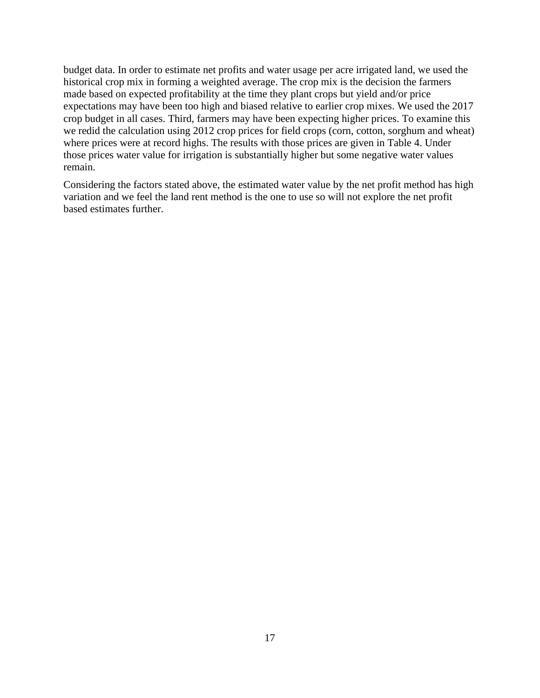budget data. In order to estimate net profits and water usage per acre irrigated land, we used the historical crop mix in forming a weighted average. The crop mix is the decision the farmers made based on expected profitability at the time they plant crops but yield and/or price expectations may have been too high and biased relative to earlier crop mixes. We used the 2017 crop budget in all cases. Third, farmers may have been expecting higher prices. To examine this we redid the calculation using 2012 crop prices for field crops (corn, cotton, sorghum and wheat) where prices were at record highs. The results with those prices are given in Table 4. Under those prices water value for irrigation is substantially higher but some negative water values remain.

Considering the factors stated above, the estimated water value by the net profit method has high variation and we feel the land rent method is the one to use so will not explore the net profit based estimates further.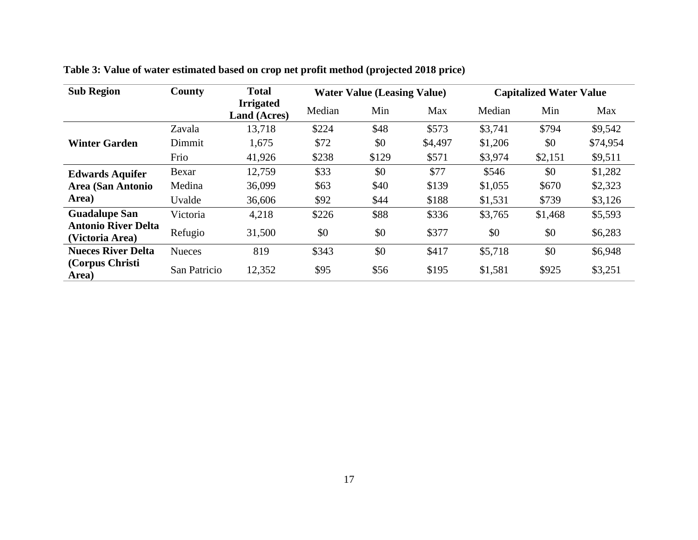| <b>Sub Region</b>                             | County        | <b>Total</b>                            | <b>Water Value (Leasing Value)</b> |       |         | <b>Capitalized Water Value</b> |         |          |
|-----------------------------------------------|---------------|-----------------------------------------|------------------------------------|-------|---------|--------------------------------|---------|----------|
|                                               |               | <b>Irrigated</b><br><b>Land (Acres)</b> | Median                             | Min   | Max     | Median                         | Min     | Max      |
|                                               | Zavala        | 13,718                                  | \$224                              | \$48  | \$573   | \$3,741                        | \$794   | \$9,542  |
| <b>Winter Garden</b>                          | Dimmit        | 1,675                                   | \$72                               | \$0   | \$4,497 | \$1,206                        | \$0     | \$74,954 |
|                                               | Frio          | 41,926                                  | \$238                              | \$129 | \$571   | \$3,974                        | \$2,151 | \$9,511  |
| <b>Edwards Aquifer</b>                        | Bexar         | 12,759                                  | \$33                               | \$0   | \$77    | \$546                          | \$0     | \$1,282  |
| <b>Area (San Antonio</b>                      | Medina        | 36,099                                  | \$63                               | \$40  | \$139   | \$1,055                        | \$670   | \$2,323  |
| Area)                                         | Uvalde        | 36,606                                  | \$92                               | \$44  | \$188   | \$1,531                        | \$739   | \$3,126  |
| <b>Guadalupe San</b>                          | Victoria      | 4,218                                   | \$226                              | \$88  | \$336   | \$3,765                        | \$1,468 | \$5,593  |
| <b>Antonio River Delta</b><br>(Victoria Area) | Refugio       | 31,500                                  | \$0                                | \$0   | \$377   | \$0                            | \$0     | \$6,283  |
| <b>Nueces River Delta</b>                     | <b>Nueces</b> | 819                                     | \$343                              | \$0   | \$417   | \$5,718                        | \$0     | \$6,948  |
| (Corpus Christi)<br>Area)                     | San Patricio  | 12,352                                  | \$95                               | \$56  | \$195   | \$1,581                        | \$925   | \$3,251  |

**Table 3: Value of water estimated based on crop net profit method (projected 2018 price)**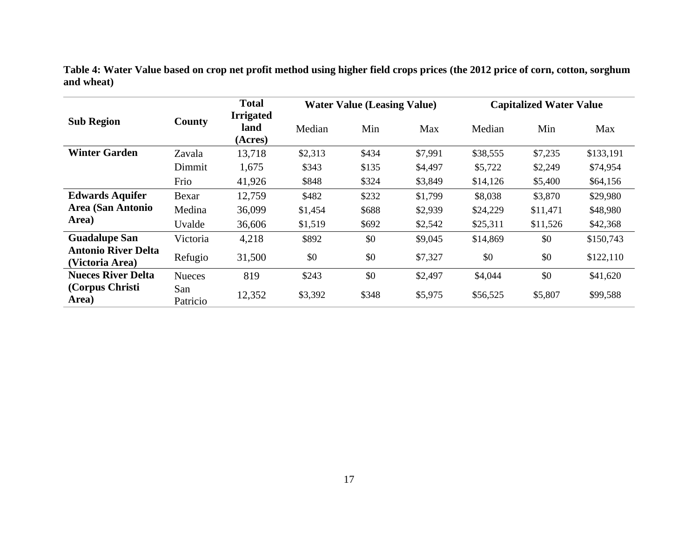|                                               |                 | <b>Total</b><br><b>Irrigated</b> | <b>Water Value (Leasing Value)</b> |       |         | <b>Capitalized Water Value</b> |          |           |
|-----------------------------------------------|-----------------|----------------------------------|------------------------------------|-------|---------|--------------------------------|----------|-----------|
| <b>Sub Region</b>                             | County          | land<br>(Acres)                  | Median                             | Min   | Max     | Median                         | Min      | Max       |
| <b>Winter Garden</b>                          | Zavala          | 13,718                           | \$2,313                            | \$434 | \$7,991 | \$38,555                       | \$7,235  | \$133,191 |
|                                               | Dimmit          | 1,675                            | \$343                              | \$135 | \$4,497 | \$5,722                        | \$2,249  | \$74,954  |
|                                               | Frio            | 41,926                           | \$848                              | \$324 | \$3,849 | \$14,126                       | \$5,400  | \$64,156  |
| <b>Edwards Aquifer</b>                        | Bexar           | 12,759                           | \$482                              | \$232 | \$1,799 | \$8,038                        | \$3,870  | \$29,980  |
| Area (San Antonio                             | Medina          | 36,099                           | \$1,454                            | \$688 | \$2,939 | \$24,229                       | \$11,471 | \$48,980  |
| Area)                                         | Uvalde          | 36,606                           | \$1,519                            | \$692 | \$2,542 | \$25,311                       | \$11,526 | \$42,368  |
| <b>Guadalupe San</b>                          | Victoria        | 4,218                            | \$892                              | \$0   | \$9,045 | \$14,869                       | \$0      | \$150,743 |
| <b>Antonio River Delta</b><br>(Victoria Area) | Refugio         | 31,500                           | \$0                                | \$0   | \$7,327 | \$0                            | \$0      | \$122,110 |
| <b>Nueces River Delta</b>                     | <b>Nueces</b>   | 819                              | \$243                              | \$0   | \$2,497 | \$4,044                        | \$0      | \$41,620  |
| (Corpus Christi<br>Area)                      | San<br>Patricio | 12,352                           | \$3,392                            | \$348 | \$5,975 | \$56,525                       | \$5,807  | \$99,588  |

**Table 4: Water Value based on crop net profit method using higher field crops prices (the 2012 price of corn, cotton, sorghum and wheat)**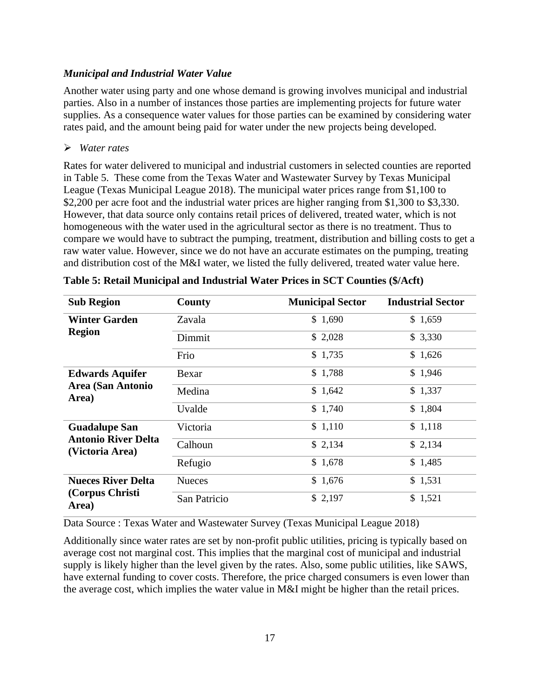#### *Municipal and Industrial Water Value*

Another water using party and one whose demand is growing involves municipal and industrial parties. Also in a number of instances those parties are implementing projects for future water supplies. As a consequence water values for those parties can be examined by considering water rates paid, and the amount being paid for water under the new projects being developed.

#### ➢ *Water rates*

Rates for water delivered to municipal and industrial customers in selected counties are reported in Table 5. These come from the Texas Water and Wastewater Survey by Texas Municipal League (Texas Municipal League 2018). The municipal water prices range from \$1,100 to \$2,200 per acre foot and the industrial water prices are higher ranging from \$1,300 to \$3,330. However, that data source only contains retail prices of delivered, treated water, which is not homogeneous with the water used in the agricultural sector as there is no treatment. Thus to compare we would have to subtract the pumping, treatment, distribution and billing costs to get a raw water value. However, since we do not have an accurate estimates on the pumping, treating and distribution cost of the M&I water, we listed the fully delivered, treated water value here.

| <b>Sub Region</b>                             | County        | <b>Municipal Sector</b> | <b>Industrial Sector</b> |
|-----------------------------------------------|---------------|-------------------------|--------------------------|
| <b>Winter Garden</b>                          | Zavala        | \$1,690                 | \$1,659                  |
| <b>Region</b>                                 | Dimmit        | \$2,028                 | \$3,330                  |
|                                               | Frio          | \$1,735                 | \$1,626                  |
| <b>Edwards Aquifer</b>                        | Bexar         | \$1,788                 | \$1,946                  |
| <b>Area (San Antonio</b><br>Area)             | Medina        | \$1,642                 | \$1,337                  |
|                                               | Uvalde        | \$1,740                 | \$1,804                  |
| <b>Guadalupe San</b>                          | Victoria      | \$1,110                 | \$1,118                  |
| <b>Antonio River Delta</b><br>(Victoria Area) | Calhoun       | \$2,134                 | \$2,134                  |
|                                               | Refugio       | \$1,678                 | \$1,485                  |
| <b>Nueces River Delta</b>                     | <b>Nueces</b> | \$1,676                 | \$1,531                  |
| (Corpus Christi<br>Area)                      | San Patricio  | \$2,197                 | \$1,521                  |

Data Source : Texas Water and Wastewater Survey (Texas Municipal League 2018)

Additionally since water rates are set by non-profit public utilities, pricing is typically based on average cost not marginal cost. This implies that the marginal cost of municipal and industrial supply is likely higher than the level given by the rates. Also, some public utilities, like SAWS, have external funding to cover costs. Therefore, the price charged consumers is even lower than the average cost, which implies the water value in M&I might be higher than the retail prices.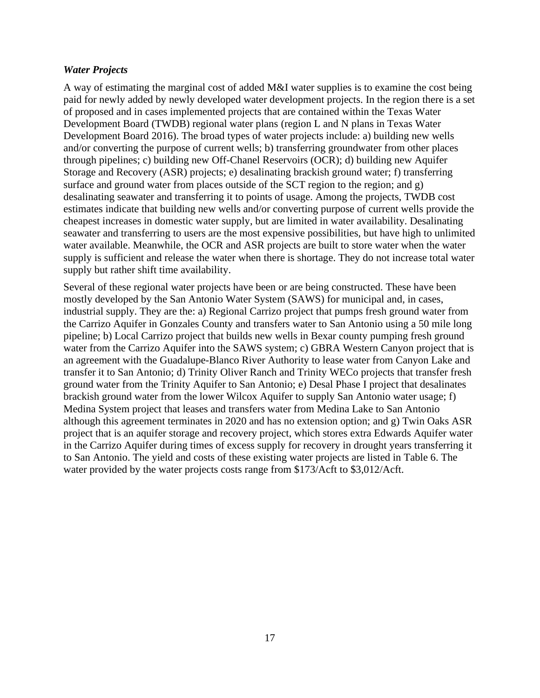#### *Water Projects*

A way of estimating the marginal cost of added M&I water supplies is to examine the cost being paid for newly added by newly developed water development projects. In the region there is a set of proposed and in cases implemented projects that are contained within the Texas Water Development Board (TWDB) regional water plans (region L and N plans in Texas Water Development Board 2016). The broad types of water projects include: a) building new wells and/or converting the purpose of current wells; b) transferring groundwater from other places through pipelines; c) building new Off-Chanel Reservoirs (OCR); d) building new Aquifer Storage and Recovery (ASR) projects; e) desalinating brackish ground water; f) transferring surface and ground water from places outside of the SCT region to the region; and g) desalinating seawater and transferring it to points of usage. Among the projects, TWDB cost estimates indicate that building new wells and/or converting purpose of current wells provide the cheapest increases in domestic water supply, but are limited in water availability. Desalinating seawater and transferring to users are the most expensive possibilities, but have high to unlimited water available. Meanwhile, the OCR and ASR projects are built to store water when the water supply is sufficient and release the water when there is shortage. They do not increase total water supply but rather shift time availability.

Several of these regional water projects have been or are being constructed. These have been mostly developed by the San Antonio Water System (SAWS) for municipal and, in cases, industrial supply. They are the: a) Regional Carrizo project that pumps fresh ground water from the Carrizo Aquifer in Gonzales County and transfers water to San Antonio using a 50 mile long pipeline; b) Local Carrizo project that builds new wells in Bexar county pumping fresh ground water from the Carrizo Aquifer into the SAWS system; c) GBRA Western Canyon project that is an agreement with the Guadalupe-Blanco River Authority to lease water from Canyon Lake and transfer it to San Antonio; d) Trinity Oliver Ranch and Trinity WECo projects that transfer fresh ground water from the Trinity Aquifer to San Antonio; e) Desal Phase I project that desalinates brackish ground water from the lower Wilcox Aquifer to supply San Antonio water usage; f) Medina System project that leases and transfers water from Medina Lake to San Antonio although this agreement terminates in 2020 and has no extension option; and g) Twin Oaks ASR project that is an aquifer storage and recovery project, which stores extra Edwards Aquifer water in the Carrizo Aquifer during times of excess supply for recovery in drought years transferring it to San Antonio. The yield and costs of these existing water projects are listed in Table 6. The water provided by the water projects costs range from \$173/Acft to \$3,012/Acft.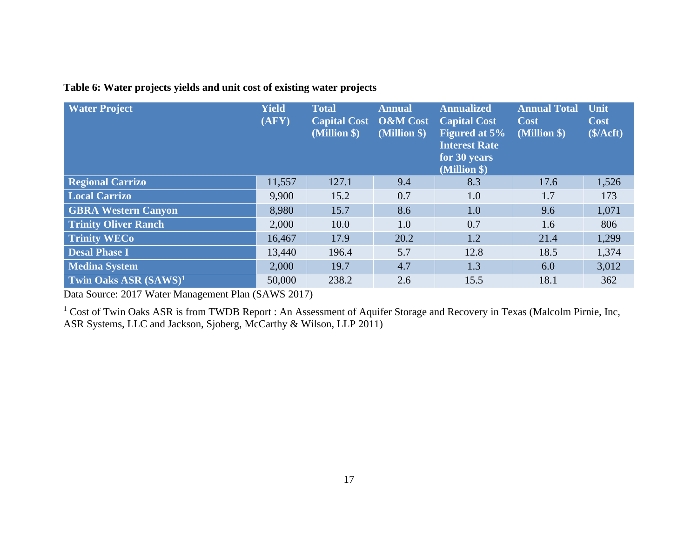# **Table 6: Water projects yields and unit cost of existing water projects**

| <b>Water Project</b>              | <b>Yield</b><br>(AFY) | <b>Total</b><br><b>Capital Cost</b><br>(Million \$) | <b>Annual</b><br><b>O&amp;M</b> Cost<br>(Million \$) | <b>Annualized</b><br><b>Capital Cost</b><br><b>Figured at 5%</b><br><b>Interest Rate</b><br>for 30 years<br>(Million \$) | <b>Annual Total</b><br><b>Cost</b><br>(Million \$) | Unit<br>Cost<br>(\$/Acft) |
|-----------------------------------|-----------------------|-----------------------------------------------------|------------------------------------------------------|--------------------------------------------------------------------------------------------------------------------------|----------------------------------------------------|---------------------------|
| <b>Regional Carrizo</b>           | 11,557                | 127.1                                               | 9.4                                                  | 8.3                                                                                                                      | 17.6                                               | 1,526                     |
| <b>Local Carrizo</b>              | 9,900                 | 15.2                                                | 0.7                                                  | 1.0                                                                                                                      | 1.7                                                | 173                       |
| <b>GBRA Western Canyon</b>        | 8,980                 | 15.7                                                | 8.6                                                  | 1.0                                                                                                                      | 9.6                                                | 1,071                     |
| <b>Trinity Oliver Ranch</b>       | 2,000                 | 10.0                                                | 1.0                                                  | 0.7                                                                                                                      | 1.6                                                | 806                       |
| <b>Trinity WECo</b>               | 16,467                | 17.9                                                | 20.2                                                 | 1.2                                                                                                                      | 21.4                                               | 1,299                     |
| <b>Desal Phase I</b>              | 13,440                | 196.4                                               | 5.7                                                  | 12.8                                                                                                                     | 18.5                                               | 1,374                     |
| <b>Medina System</b>              | 2,000                 | 19.7                                                | 4.7                                                  | 1.3                                                                                                                      | 6.0                                                | 3,012                     |
| Twin Oaks ASR (SAWS) <sup>1</sup> | 50,000                | 238.2                                               | 2.6                                                  | 15.5                                                                                                                     | 18.1                                               | 362                       |

Data Source: 2017 Water Management Plan (SAWS 2017)

<sup>1</sup> Cost of Twin Oaks ASR is from TWDB Report : An Assessment of Aquifer Storage and Recovery in Texas (Malcolm Pirnie, Inc, ASR Systems, LLC and Jackson, Sjoberg, McCarthy & Wilson, LLP 2011)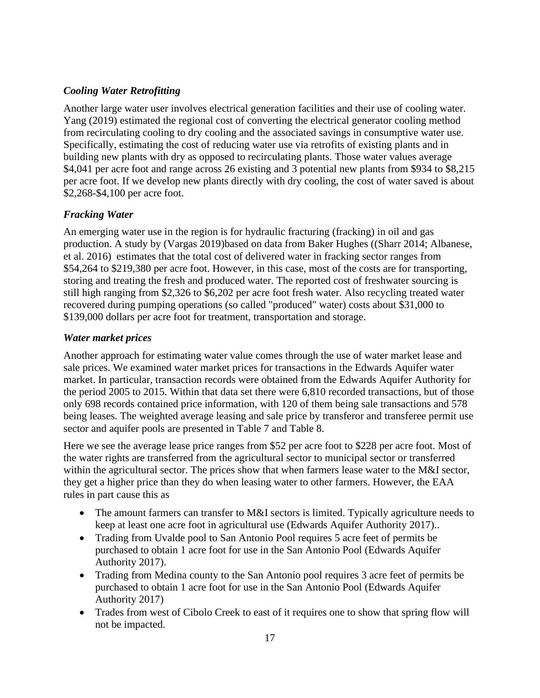## *Cooling Water Retrofitting*

Another large water user involves electrical generation facilities and their use of cooling water. Yang (2019) estimated the regional cost of converting the electrical generator cooling method from recirculating cooling to dry cooling and the associated savings in consumptive water use. Specifically, estimating the cost of reducing water use via retrofits of existing plants and in building new plants with dry as opposed to recirculating plants. Those water values average \$4,041 per acre foot and range across 26 existing and 3 potential new plants from \$934 to \$8,215 per acre foot. If we develop new plants directly with dry cooling, the cost of water saved is about \$2,268-\$4,100 per acre foot.

### *Fracking Water*

An emerging water use in the region is for hydraulic fracturing (fracking) in oil and gas production. A study by (Vargas 2019)based on data from Baker Hughes ((Sharr 2014; Albanese, et al. 2016) estimates that the total cost of delivered water in fracking sector ranges from \$54,264 to \$219,380 per acre foot. However, in this case, most of the costs are for transporting, storing and treating the fresh and produced water. The reported cost of freshwater sourcing is still high ranging from \$2,326 to \$6,202 per acre foot fresh water. Also recycling treated water recovered during pumping operations (so called "produced" water) costs about \$31,000 to \$139,000 dollars per acre foot for treatment, transportation and storage.

### *Water market prices*

Another approach for estimating water value comes through the use of water market lease and sale prices. We examined water market prices for transactions in the Edwards Aquifer water market. In particular, transaction records were obtained from the Edwards Aquifer Authority for the period 2005 to 2015. Within that data set there were 6,810 recorded transactions, but of those only 698 records contained price information, with 120 of them being sale transactions and 578 being leases. The weighted average leasing and sale price by transferor and transferee permit use sector and aquifer pools are presented in Table 7 and Table 8.

Here we see the average lease price ranges from \$52 per acre foot to \$228 per acre foot. Most of the water rights are transferred from the agricultural sector to municipal sector or transferred within the agricultural sector. The prices show that when farmers lease water to the M&I sector, they get a higher price than they do when leasing water to other farmers. However, the EAA rules in part cause this as

- The amount farmers can transfer to M&I sectors is limited. Typically agriculture needs to keep at least one acre foot in agricultural use (Edwards Aquifer Authority 2017)..
- Trading from Uvalde pool to San Antonio Pool requires 5 acre feet of permits be purchased to obtain 1 acre foot for use in the San Antonio Pool (Edwards Aquifer Authority 2017).
- Trading from Medina county to the San Antonio pool requires 3 acre feet of permits be purchased to obtain 1 acre foot for use in the San Antonio Pool (Edwards Aquifer Authority 2017)
- Trades from west of Cibolo Creek to east of it requires one to show that spring flow will not be impacted.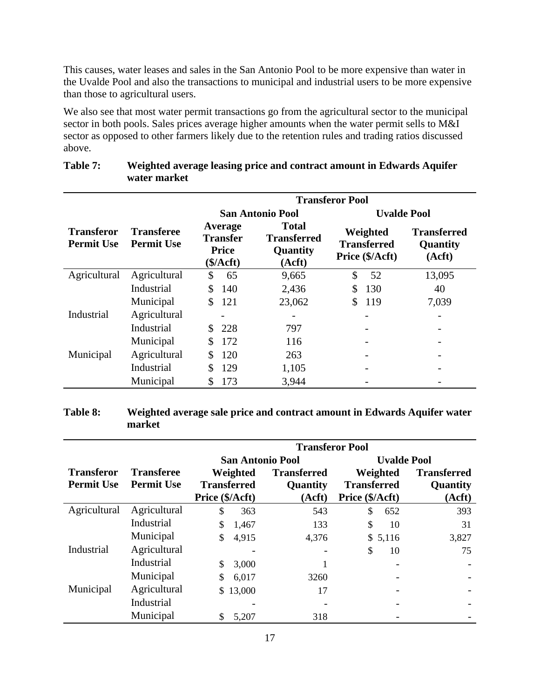This causes, water leases and sales in the San Antonio Pool to be more expensive than water in the Uvalde Pool and also the transactions to municipal and industrial users to be more expensive than those to agricultural users.

We also see that most water permit transactions go from the agricultural sector to the municipal sector in both pools. Sales prices average higher amounts when the water permit sells to M&I sector as opposed to other farmers likely due to the retention rules and trading ratios discussed above.

| <b>Transferor Pool</b>          |                                        |                                                                     |                                                                                                               |                    |                                          |  |
|---------------------------------|----------------------------------------|---------------------------------------------------------------------|---------------------------------------------------------------------------------------------------------------|--------------------|------------------------------------------|--|
|                                 |                                        |                                                                     | <b>San Antonio Pool</b>                                                                                       | <b>Uvalde Pool</b> |                                          |  |
| Transferor<br><b>Permit Use</b> | <b>Transferee</b><br><b>Permit Use</b> | Average<br><b>Transfer</b><br><b>Price</b><br>$(\frac{\epsilon}{4}$ | <b>Total</b><br>Weighted<br><b>Transferred</b><br><b>Transferred</b><br>Quantity<br>Price (\$/Acft)<br>(Acft) |                    | <b>Transferred</b><br>Quantity<br>(Acft) |  |
| Agricultural                    | Agricultural                           | \$<br>65                                                            | 9,665                                                                                                         | \$<br>52           | 13,095                                   |  |
|                                 | Industrial                             | \$.<br>140                                                          | 2,436                                                                                                         | 130<br>\$          | 40                                       |  |
|                                 | Municipal                              | 121<br>\$                                                           | 23,062                                                                                                        | 119<br>\$.         | 7,039                                    |  |
| Industrial                      | Agricultural                           |                                                                     |                                                                                                               |                    |                                          |  |
|                                 | Industrial                             | 228                                                                 | 797                                                                                                           |                    |                                          |  |
|                                 | Municipal                              | 172<br>\$.                                                          | 116                                                                                                           |                    |                                          |  |
| Municipal                       | Agricultural                           | 120                                                                 | 263                                                                                                           |                    |                                          |  |
|                                 | Industrial                             | 129<br>S                                                            | 1,105                                                                                                         |                    |                                          |  |
|                                 | Municipal                              | 173                                                                 | 3,944                                                                                                         |                    |                                          |  |

### **Table 7: Weighted average leasing price and contract amount in Edwards Aquifer water market**

# **Table 8: Weighted average sale price and contract amount in Edwards Aquifer water market**

|                                        |                                        | <b>Transferor Pool</b>         |                                |                                |                                       |  |  |
|----------------------------------------|----------------------------------------|--------------------------------|--------------------------------|--------------------------------|---------------------------------------|--|--|
|                                        |                                        |                                | <b>San Antonio Pool</b>        | <b>Uvalde Pool</b>             |                                       |  |  |
| <b>Transferor</b><br><b>Permit Use</b> | <b>Transferee</b><br><b>Permit Use</b> | Weighted<br><b>Transferred</b> | <b>Transferred</b><br>Quantity | Weighted<br><b>Transferred</b> | <b>Transferred</b><br><b>Quantity</b> |  |  |
|                                        |                                        | Price (\$/Acft)                | (Acft)                         | Price (\$/Acft)                | (Acft)                                |  |  |
| Agricultural                           | Agricultural                           | \$<br>363                      | 543                            | \$<br>652                      | 393                                   |  |  |
|                                        | Industrial                             | \$<br>1,467                    | 133                            | \$<br>10                       | 31                                    |  |  |
|                                        | Municipal                              | 4,915<br>\$                    | 4,376                          | \$5,116                        | 3,827                                 |  |  |
| Industrial                             | Agricultural                           |                                |                                | \$<br>10                       | 75                                    |  |  |
|                                        | Industrial                             | \$<br>3,000                    |                                | $\overline{\phantom{0}}$       |                                       |  |  |
|                                        | Municipal                              | 6,017                          | 3260                           |                                |                                       |  |  |
| Municipal                              | Agricultural                           | 13,000<br>\$.                  | 17                             |                                |                                       |  |  |
|                                        | Industrial                             |                                |                                |                                |                                       |  |  |
|                                        | Municipal                              | 5,207                          | 318                            |                                |                                       |  |  |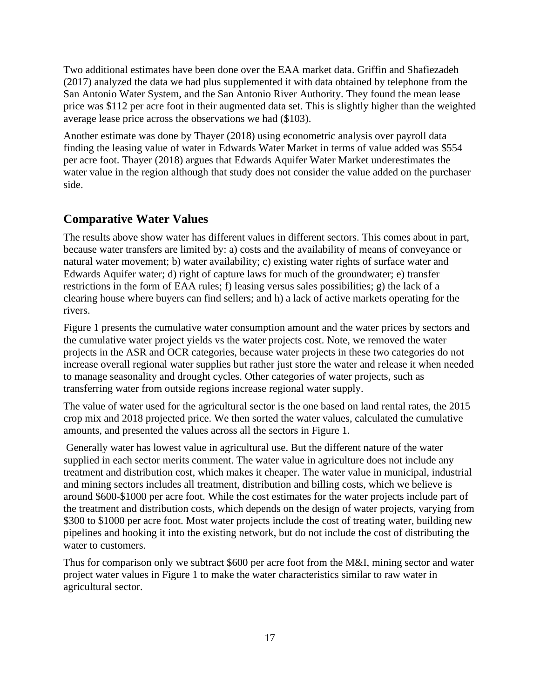Two additional estimates have been done over the EAA market data. Griffin and Shafiezadeh (2017) analyzed the data we had plus supplemented it with data obtained by telephone from the San Antonio Water System, and the San Antonio River Authority. They found the mean lease price was \$112 per acre foot in their augmented data set. This is slightly higher than the weighted average lease price across the observations we had (\$103).

Another estimate was done by Thayer (2018) using econometric analysis over payroll data finding the leasing value of water in Edwards Water Market in terms of value added was \$554 per acre foot. Thayer (2018) argues that Edwards Aquifer Water Market underestimates the water value in the region although that study does not consider the value added on the purchaser side.

# **Comparative Water Values**

The results above show water has different values in different sectors. This comes about in part, because water transfers are limited by: a) costs and the availability of means of conveyance or natural water movement; b) water availability; c) existing water rights of surface water and Edwards Aquifer water; d) right of capture laws for much of the groundwater; e) transfer restrictions in the form of EAA rules; f) leasing versus sales possibilities; g) the lack of a clearing house where buyers can find sellers; and h) a lack of active markets operating for the rivers.

Figure 1 presents the cumulative water consumption amount and the water prices by sectors and the cumulative water project yields vs the water projects cost. Note, we removed the water projects in the ASR and OCR categories, because water projects in these two categories do not increase overall regional water supplies but rather just store the water and release it when needed to manage seasonality and drought cycles. Other categories of water projects, such as transferring water from outside regions increase regional water supply.

The value of water used for the agricultural sector is the one based on land rental rates, the 2015 crop mix and 2018 projected price. We then sorted the water values, calculated the cumulative amounts, and presented the values across all the sectors in Figure 1.

Generally water has lowest value in agricultural use. But the different nature of the water supplied in each sector merits comment. The water value in agriculture does not include any treatment and distribution cost, which makes it cheaper. The water value in municipal, industrial and mining sectors includes all treatment, distribution and billing costs, which we believe is around \$600-\$1000 per acre foot. While the cost estimates for the water projects include part of the treatment and distribution costs, which depends on the design of water projects, varying from \$300 to \$1000 per acre foot. Most water projects include the cost of treating water, building new pipelines and hooking it into the existing network, but do not include the cost of distributing the water to customers.

Thus for comparison only we subtract \$600 per acre foot from the M&I, mining sector and water project water values in Figure 1 to make the water characteristics similar to raw water in agricultural sector.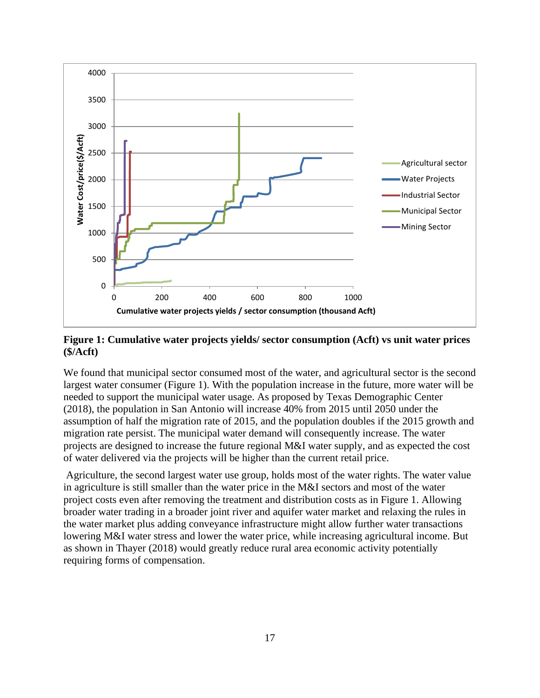

**Figure 1: Cumulative water projects yields/ sector consumption (Acft) vs unit water prices (\$/Acft)**

We found that municipal sector consumed most of the water, and agricultural sector is the second largest water consumer (Figure 1). With the population increase in the future, more water will be needed to support the municipal water usage. As proposed by Texas Demographic Center (2018), the population in San Antonio will increase 40% from 2015 until 2050 under the assumption of half the migration rate of 2015, and the population doubles if the 2015 growth and migration rate persist. The municipal water demand will consequently increase. The water projects are designed to increase the future regional M&I water supply, and as expected the cost of water delivered via the projects will be higher than the current retail price.

Agriculture, the second largest water use group, holds most of the water rights. The water value in agriculture is still smaller than the water price in the M&I sectors and most of the water project costs even after removing the treatment and distribution costs as in Figure 1. Allowing broader water trading in a broader joint river and aquifer water market and relaxing the rules in the water market plus adding conveyance infrastructure might allow further water transactions lowering M&I water stress and lower the water price, while increasing agricultural income. But as shown in Thayer (2018) would greatly reduce rural area economic activity potentially requiring forms of compensation.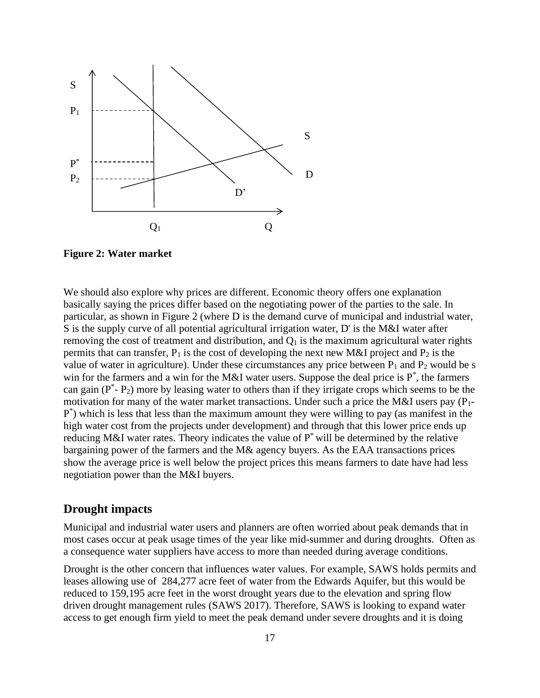

**Figure 2: Water market**

We should also explore why prices are different. Economic theory offers one explanation basically saying the prices differ based on the negotiating power of the parties to the sale. In particular, as shown in Figure 2 (where D is the demand curve of municipal and industrial water, S is the supply curve of all potential agricultural irrigation water, D' is the M&I water after removing the cost of treatment and distribution, and  $Q_1$  is the maximum agricultural water rights permits that can transfer,  $P_1$  is the cost of developing the next new M&I project and  $P_2$  is the value of water in agriculture). Under these circumstances any price between  $P_1$  and  $P_2$  would be s win for the farmers and a win for the M&I water users. Suppose the deal price is  $P^*$ , the farmers can gain  $(P^* - P_2)$  more by leasing water to others than if they irrigate crops which seems to be the motivation for many of the water market transactions. Under such a price the M&I users pay  $(P_1 - P_2)$ P \* ) which is less that less than the maximum amount they were willing to pay (as manifest in the high water cost from the projects under development) and through that this lower price ends up reducing M&I water rates. Theory indicates the value of  $P^*$  will be determined by the relative bargaining power of the farmers and the M& agency buyers. As the EAA transactions prices show the average price is well below the project prices this means farmers to date have had less negotiation power than the M&I buyers.

### **Drought impacts**

Municipal and industrial water users and planners are often worried about peak demands that in most cases occur at peak usage times of the year like mid-summer and during droughts. Often as a consequence water suppliers have access to more than needed during average conditions.

Drought is the other concern that influences water values. For example, SAWS holds permits and leases allowing use of 284,277 acre feet of water from the Edwards Aquifer, but this would be reduced to 159,195 acre feet in the worst drought years due to the elevation and spring flow driven drought management rules (SAWS 2017). Therefore, SAWS is looking to expand water access to get enough firm yield to meet the peak demand under severe droughts and it is doing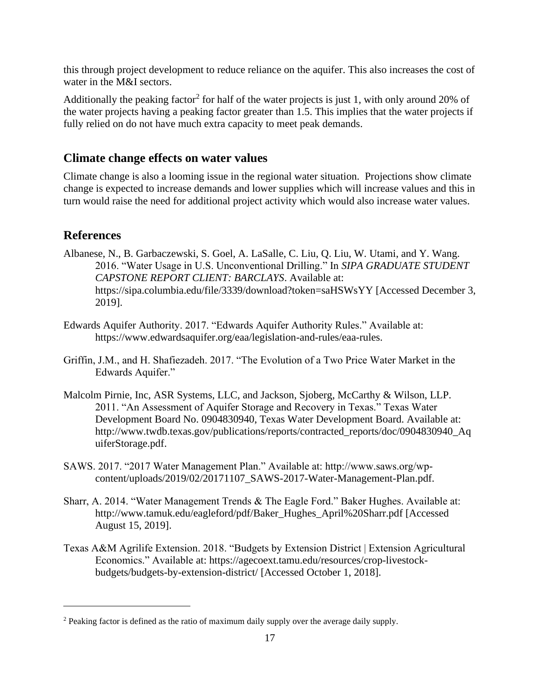this through project development to reduce reliance on the aquifer. This also increases the cost of water in the M&I sectors.

Additionally the peaking factor<sup>2</sup> for half of the water projects is just 1, with only around 20% of the water projects having a peaking factor greater than 1.5. This implies that the water projects if fully relied on do not have much extra capacity to meet peak demands.

# **Climate change effects on water values**

Climate change is also a looming issue in the regional water situation. Projections show climate change is expected to increase demands and lower supplies which will increase values and this in turn would raise the need for additional project activity which would also increase water values.

# **References**

- Albanese, N., B. Garbaczewski, S. Goel, A. LaSalle, C. Liu, Q. Liu, W. Utami, and Y. Wang. 2016. "Water Usage in U.S. Unconventional Drilling." In *SIPA GRADUATE STUDENT CAPSTONE REPORT CLIENT: BARCLAYS*. Available at: https://sipa.columbia.edu/file/3339/download?token=saHSWsYY [Accessed December 3, 2019].
- Edwards Aquifer Authority. 2017. "Edwards Aquifer Authority Rules." Available at: https://www.edwardsaquifer.org/eaa/legislation-and-rules/eaa-rules.
- Griffin, J.M., and H. Shafiezadeh. 2017. "The Evolution of a Two Price Water Market in the Edwards Aquifer."
- Malcolm Pirnie, Inc, ASR Systems, LLC, and Jackson, Sjoberg, McCarthy & Wilson, LLP. 2011. "An Assessment of Aquifer Storage and Recovery in Texas." Texas Water Development Board No. 0904830940, Texas Water Development Board. Available at: http://www.twdb.texas.gov/publications/reports/contracted\_reports/doc/0904830940\_Aq uiferStorage.pdf.
- SAWS. 2017. "2017 Water Management Plan." Available at: http://www.saws.org/wpcontent/uploads/2019/02/20171107\_SAWS-2017-Water-Management-Plan.pdf.
- Sharr, A. 2014. "Water Management Trends & The Eagle Ford." Baker Hughes. Available at: http://www.tamuk.edu/eagleford/pdf/Baker\_Hughes\_April%20Sharr.pdf [Accessed August 15, 2019].
- Texas A&M Agrilife Extension. 2018. "Budgets by Extension District | Extension Agricultural Economics." Available at: https://agecoext.tamu.edu/resources/crop-livestockbudgets/budgets-by-extension-district/ [Accessed October 1, 2018].

<sup>&</sup>lt;sup>2</sup> Peaking factor is defined as the ratio of maximum daily supply over the average daily supply.